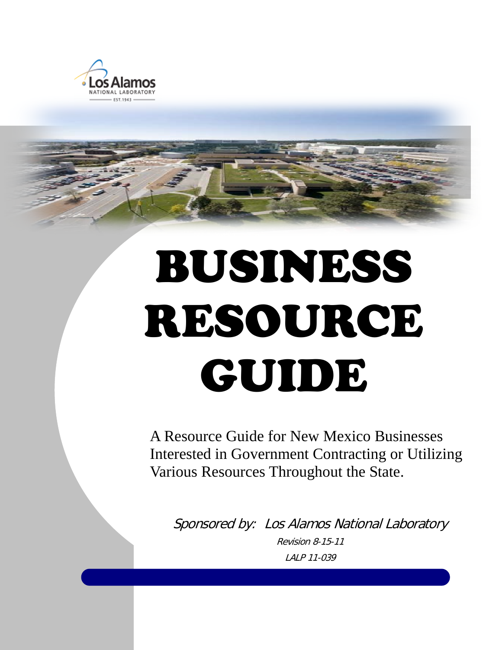

# BUSINESS RESOURCE GUIDE

A Resource Guide for New Mexico Businesses Interested in Government Contracting or Utilizing Various Resources Throughout the State.

Sponsored by: Los Alamos National Laboratory Revision 8-15-11 LALP 11-039

Introduction 1 Los Alamos National Laboratory National Laboratory National Laboratory National Laboratory Nati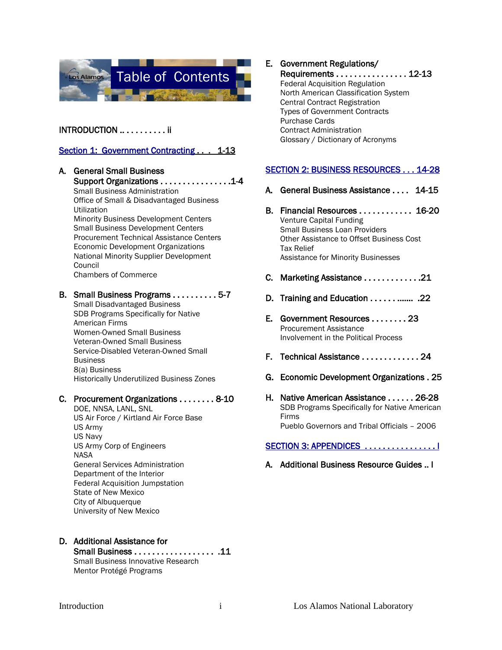

### INTRODUCTION .. . . . . . . . . . ii

#### Section 1: Government Contracting . . . 1-13

A. General Small Business Support Organizations . . . . . . . . . . . . . . . .1-4 Small Business Administration Office of Small & Disadvantaged Business Utilization Minority Business Development Centers Small Business Development Centers Procurement Technical Assistance Centers Economic Development Organizations National Minority Supplier Development Council Chambers of Commerce

#### B. Small Business Programs . . . . . . . . . . 5-7

Small Disadvantaged Business SDB Programs Specifically for Native American Firms Women-Owned Small Business Veteran-Owned Small Business Service-Disabled Veteran-Owned Small **Business** 8(a) Business Historically Underutilized Business Zones

#### C. Procurement Organizations . . . . . . . . 8-10

DOE, NNSA, LANL, SNL US Air Force / Kirtland Air Force Base US Army US Navy US Army Corp of Engineers **NASA** General Services Administration Department of the Interior Federal Acquisition Jumpstation State of New Mexico City of Albuquerque University of New Mexico

- D. Additional Assistance for
	- Small Business . . . . . . . . . . . . . . . . . . .11 Small Business Innovative Research Mentor Protégé Programs

### E. Government Regulations/

 Requirements . . . . . . . . . . . . . . . . 12-13 Federal Acquisition Regulation North American Classification System Central Contract Registration Types of Government Contracts Purchase Cards Contract Administration Glossary / Dictionary of Acronyms

#### SECTION 2: BUSINESS RESOURCES . . . 14-28

- A. General Business Assistance . . . . 14-15
- B. Financial Resources . . . . . . . . . . . . 16-20 Venture Capital Funding Small Business Loan Providers Other Assistance to Offset Business Cost Tax Relief Assistance for Minority Businesses
- C. Marketing Assistance . . . . . . . . . . . . .21
- D. Training and Education . . . . . . ……. .22
- E. Government Resources . . . . . . . . 23 Procurement Assistance Involvement in the Political Process
- F. Technical Assistance . . . . . . . . . . . . . 24
- G. Economic Development Organizations . 25
- H. Native American Assistance . . . . . . 26-28 SDB Programs Specifically for Native American Firms Pueblo Governors and Tribal Officials – 2006

#### SECTION 3: APPENDICES .................

A. Additional Business Resource Guides .. I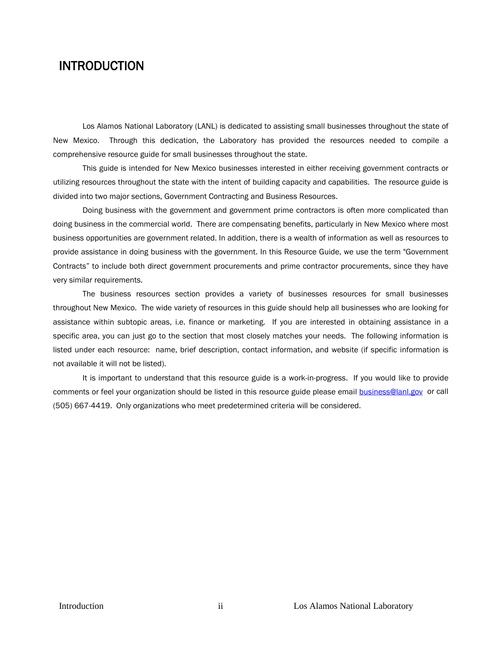# INTRODUCTION

Los Alamos National Laboratory (LANL) is dedicated to assisting small businesses throughout the state of New Mexico. Through this dedication, the Laboratory has provided the resources needed to compile a comprehensive resource guide for small businesses throughout the state.

This guide is intended for New Mexico businesses interested in either receiving government contracts or utilizing resources throughout the state with the intent of building capacity and capabilities. The resource guide is divided into two major sections, Government Contracting and Business Resources.

Doing business with the government and government prime contractors is often more complicated than doing business in the commercial world. There are compensating benefits, particularly in New Mexico where most business opportunities are government related. In addition, there is a wealth of information as well as resources to provide assistance in doing business with the government. In this Resource Guide, we use the term "Government Contracts" to include both direct government procurements and prime contractor procurements, since they have very similar requirements.

The business resources section provides a variety of businesses resources for small businesses throughout New Mexico. The wide variety of resources in this guide should help all businesses who are looking for assistance within subtopic areas, i.e. finance or marketing. If you are interested in obtaining assistance in a specific area, you can just go to the section that most closely matches your needs. The following information is listed under each resource: name, brief description, contact information, and website (if specific information is not available it will not be listed).

It is important to understand that this resource guide is a work-in-progress. If you would like to provide comments or feel your organization should be listed in this resource guide please email **[business@lanl.gov](mailto:business@lanl.gov)** or call (505) 667-4419. Only organizations who meet predetermined criteria will be considered.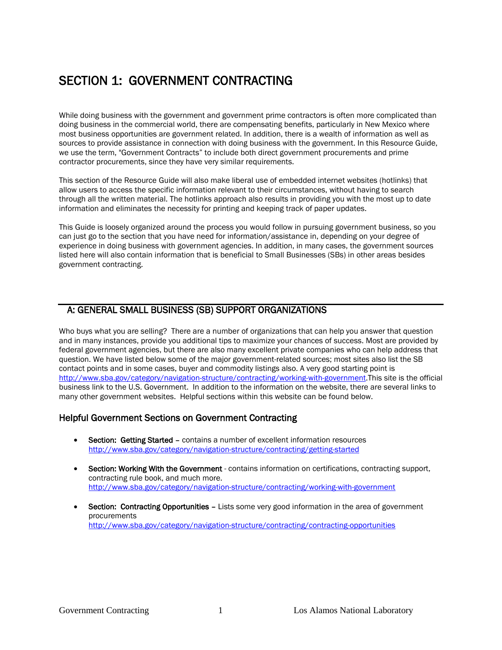# SECTION 1: GOVERNMENT CONTRACTING

While doing business with the government and government prime contractors is often more complicated than doing business in the commercial world, there are compensating benefits, particularly in New Mexico where most business opportunities are government related. In addition, there is a wealth of information as well as sources to provide assistance in connection with doing business with the government. In this Resource Guide, we use the term, "Government Contracts" to include both direct government procurements and prime contractor procurements, since they have very similar requirements.

This section of the Resource Guide will also make liberal use of embedded internet websites (hotlinks) that allow users to access the specific information relevant to their circumstances, without having to search through all the written material. The hotlinks approach also results in providing you with the most up to date information and eliminates the necessity for printing and keeping track of paper updates.

This Guide is loosely organized around the process you would follow in pursuing government business, so you can just go to the section that you have need for information/assistance in, depending on your degree of experience in doing business with government agencies. In addition, in many cases, the government sources listed here will also contain information that is beneficial to Small Businesses (SBs) in other areas besides government contracting.

# A: GENERAL SMALL BUSINESS (SB) SUPPORT ORGANIZATIONS

Who buys what you are selling? There are a number of organizations that can help you answer that question and in many instances, provide you additional tips to maximize your chances of success. Most are provided by federal government agencies, but there are also many excellent private companies who can help address that question. We have listed below some of the major government-related sources; most sites also list the SB contact points and in some cases, buyer and commodity listings also. A very good starting point is [http://www.sba.gov/category/navigation-structure/contracting/working-with-government.T](http://www.sba.gov/category/navigation-structure/contracting/working-with-government)his site is the official business link to the U.S. Government. In addition to the information on the website, there are several links to many other government websites. Helpful sections within this website can be found below.

### Helpful Government Sections on Government Contracting

- Section: Getting Started contains a number of excellent information resources <http://www.sba.gov/category/navigation-structure/contracting/getting-started>
- Section: Working With the Government contains information on certifications, contracting support, contracting rule book, and much more. <http://www.sba.gov/category/navigation-structure/contracting/working-with-government>
- Section: Contracting Opportunities Lists some very good information in the area of government procurements <http://www.sba.gov/category/navigation-structure/contracting/contracting-opportunities>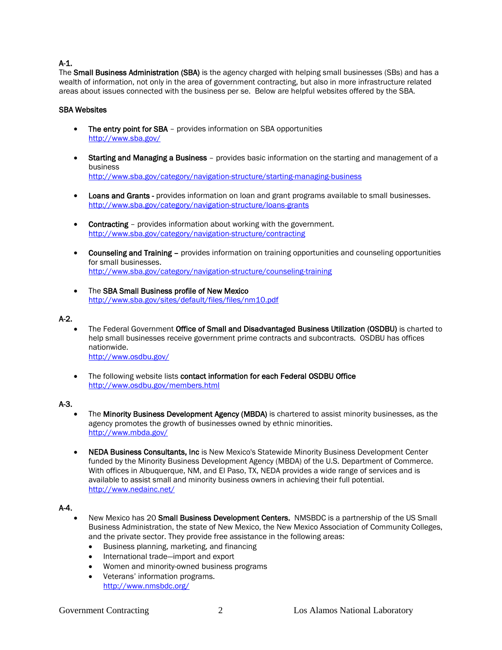### A-1.

The Small Business Administration (SBA) is the agency charged with helping small businesses (SBs) and has a wealth of information, not only in the area of government contracting, but also in more infrastructure related areas about issues connected with the business per se. Below are helpful websites offered by the SBA.

#### SBA Websites

- The entry point for SBA provides information on SBA opportunities <http://www.sba.gov/>
- Starting and Managing a Business provides basic information on the starting and management of a business <http://www.sba.gov/category/navigation-structure/starting-managing-business>
- Loans and Grants provides information on loan and grant programs available to small businesses. <http://www.sba.gov/category/navigation-structure/loans-grants>
- Contracting provides information about working with the government. <http://www.sba.gov/category/navigation-structure/contracting>
- Counseling and Training provides information on training opportunities and counseling opportunities for small businesses. <http://www.sba.gov/category/navigation-structure/counseling-training>
- The SBA Small Business profile of New Mexico <http://www.sba.gov/sites/default/files/files/nm10.pdf>

#### A-2.

- The Federal Government Office of Small and Disadvantaged Business Utilization (OSDBU) is charted to help small businesses receive government prime contracts and subcontracts. OSDBU has offices nationwide. <http://www.osdbu.gov/>
- The following website lists contact information for each Federal OSDBU Office <http://www.osdbu.gov/members.html>

#### A-3.

- The Minority Business Development Agency (MBDA) is chartered to assist minority businesses, as the agency promotes the growth of businesses owned by ethnic minorities. <http://www.mbda.gov/>
- NEDA Business Consultants, Inc is New Mexico's Statewide Minority Business Development Center funded by the Minority Business Development Agency (MBDA) of the U.S. Department of Commerce. With offices in Albuquerque, NM, and El Paso, TX, NEDA provides a wide range of services and is available to assist small and minority business owners in achieving their full potential. <http://www.nedainc.net/>

#### A-4.

- New Mexico has 20 Small Business Development Centers. NMSBDC is a partnership of the US Small Business Administration, the state of New Mexico, the New Mexico Association of Community Colleges, and the private sector. They provide free assistance in the following areas:
	- Business planning, marketing, and financing
	- International trade—import and export
	- Women and minority-owned business programs
	- Veterans' information programs. <http://www.nmsbdc.org/>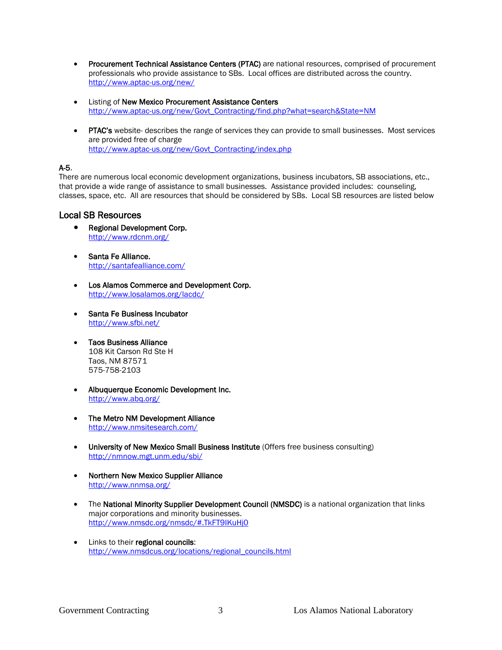- Procurement Technical Assistance Centers (PTAC) are national resources, comprised of procurement professionals who provide assistance to SBs. Local offices are distributed across the country. <http://www.aptac-us.org/new/>
- Listing of New Mexico Procurement Assistance Centers [http://www.aptac-us.org/new/Govt\\_Contracting/find.php?what=search&State=NM](http://www.aptac-us.org/new/Govt_Contracting/find.php?what=search&State=NM)
- PTAC's website- describes the range of services they can provide to small businesses. Most services are provided free of charge [http://www.aptac-us.org/new/Govt\\_Contracting/index.php](http://www.aptac-us.org/new/Govt_Contracting/index.php)

### A-5.

There are numerous local economic development organizations, business incubators, SB associations, etc., that provide a wide range of assistance to small businesses. Assistance provided includes: counseling, classes, space, etc. All are resources that should be considered by SBs. Local SB resources are listed below

### Local SB Resources

- Regional Development Corp.<br><http://www.rdcnm.org/>
- Santa Fe Alliance. <http://santafealliance.com/>
- Los Alamos Commerce and Development Corp. <http://www.losalamos.org/lacdc/>
- Santa Fe Business Incubator <http://www.sfbi.net/>
- Taos Business Alliance 108 Kit Carson Rd Ste H Taos, NM 87571 575-758-2103
- Albuquerque Economic Development Inc. <http://www.abq.org/>
- The Metro NM Development Alliance <http://www.nmsitesearch.com/>
- University of New Mexico Small Business Institute (Offers free business consulting) <http://nmnow.mgt.unm.edu/sbi/>
- Northern New Mexico Supplier Alliance <http://www.nnmsa.org/>
- The National Minority Supplier Development Council (NMSDC) is a national organization that links major corporations and minority businesses. <http://www.nmsdc.org/nmsdc/#.TkFT9IKuHj0>
- Links to their regional councils: [http://www.nmsdcus.org/locations/regional\\_councils.html](http://www.nmsdcus.org/locations/regional_councils.html)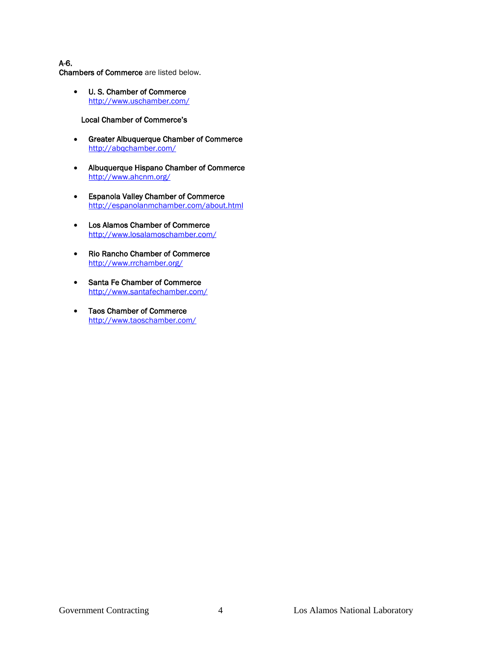A-6. Chambers of Commerce are listed below.

> • U. S. Chamber of Commerce <http://www.uschamber.com/>

#### Local Chamber of Commerce's

- Greater Albuquerque Chamber of Commerce <http://abqchamber.com/>
- Albuquerque Hispano Chamber of Commerce <http://www.ahcnm.org/>
- Espanola Valley Chamber of Commerce <http://espanolanmchamber.com/about.html>
- Los Alamos Chamber of Commerce <http://www.losalamoschamber.com/>
- Rio Rancho Chamber of Commerce <http://www.rrchamber.org/>
- Santa Fe Chamber of Commerce <http://www.santafechamber.com/>
- Taos Chamber of Commerce <http://www.taoschamber.com/>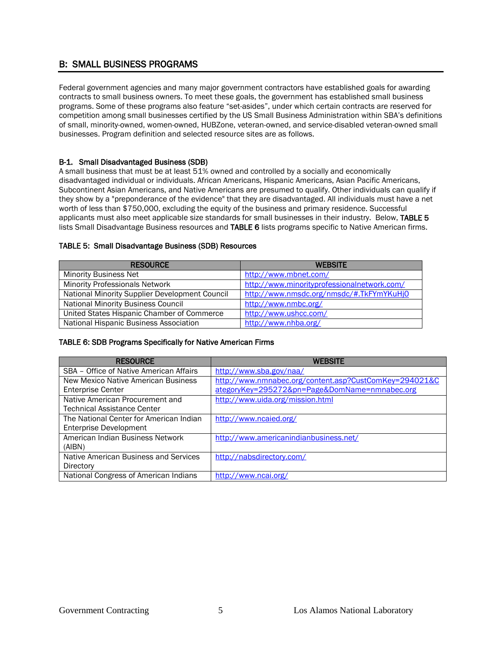# B: SMALL BUSINESS PROGRAMS

Federal government agencies and many major government contractors have established goals for awarding contracts to small business owners. To meet these goals, the government has established small business programs. Some of these programs also feature "set-asides", under which certain contracts are reserved for competition among small businesses certified by the US Small Business Administration within SBA's definitions of small, minority-owned, women-owned, HUBZone, veteran-owned, and service-disabled veteran-owned small businesses. Program definition and selected resource sites are as follows.

#### B-1. Small Disadvantaged Business (SDB)

A small business that must be at least 51% owned and controlled by a socially and economically disadvantaged individual or individuals. African Americans, Hispanic Americans, Asian Pacific Americans, Subcontinent Asian Americans, and Native Americans are presumed to qualify. Other individuals can qualify if they show by a "preponderance of the evidence" that they are disadvantaged. All individuals must have a net worth of less than \$750,000, excluding the equity of the business and primary residence. Successful applicants must also meet applicable size standards for small businesses in their industry. Below, TABLE 5 lists Small Disadvantage Business resources and TABLE 6 lists programs specific to Native American firms.

#### TABLE 5: Small Disadvantage Business (SDB) Resources

| <b>RESOURCE</b>                                | <b>WEBSITE</b>                              |
|------------------------------------------------|---------------------------------------------|
| <b>Minority Business Net</b>                   | http://www.mbnet.com/                       |
| <b>Minority Professionals Network</b>          | http://www.minorityprofessionalnetwork.com/ |
| National Minority Supplier Development Council | http://www.nmsdc.org/nmsdc/#.TkFYmYKuHj0    |
| <b>National Minority Business Council</b>      | http://www.nmbc.org/                        |
| United States Hispanic Chamber of Commerce     | http://www.ushcc.com/                       |
| National Hispanic Business Association         | http://www.nhba.org/                        |

#### TABLE 6: SDB Programs Specifically for Native American Firms

| <b>RESOURCE</b>                         | <b>WEBSITE</b>                                         |
|-----------------------------------------|--------------------------------------------------------|
| SBA - Office of Native American Affairs | http://www.sba.gov/naa/                                |
| New Mexico Native American Business     | http://www.nmnabec.org/content.asp?CustComKey=294021&C |
| <b>Enterprise Center</b>                | ategoryKey=295272&pn=Page&DomName=nmnabec.org          |
| Native American Procurement and         | http://www.uida.org/mission.html                       |
| Technical Assistance Center             |                                                        |
| The National Center for American Indian | http://www.ncaied.org/                                 |
| <b>Enterprise Development</b>           |                                                        |
| American Indian Business Network        | http://www.americanindianbusiness.net/                 |
| (AIBN)                                  |                                                        |
| Native American Business and Services   | http://nabsdirectory.com/                              |
| Directory                               |                                                        |
| National Congress of American Indians   | http://www.ncai.org/                                   |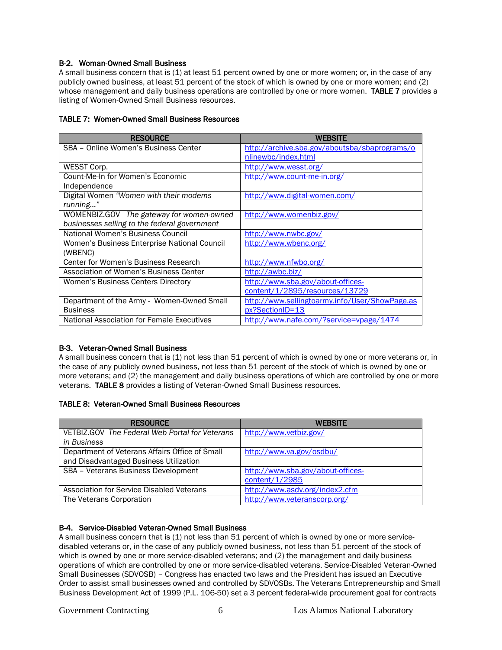#### B-2. Woman-Owned Small Business

A small business concern that is (1) at least 51 percent owned by one or more women; or, in the case of any publicly owned business, at least 51 percent of the stock of which is owned by one or more women; and (2) whose management and daily business operations are controlled by one or more women. TABLE 7 provides a listing of Women-Owned Small Business resources.

#### TABLE 7: Women-Owned Small Business Resources

| <b>RESOURCE</b>                                   | <b>WEBSITE</b>                                 |
|---------------------------------------------------|------------------------------------------------|
| SBA - Online Women's Business Center              | http://archive.sba.gov/aboutsba/sbaprograms/o  |
|                                                   | nlinewbc/index.html                            |
| WESST Corp.                                       | http://www.wesst.org/                          |
| Count-Me-In for Women's Economic                  | http://www.count-me-in.org/                    |
| Independence                                      |                                                |
| Digital Women "Women with their modems"           | http://www.digital-women.com/                  |
| running"                                          |                                                |
| WOMENBIZ.GOV The gateway for women-owned          | http://www.womenbiz.gov/                       |
| businesses selling to the federal government      |                                                |
| National Women's Business Council                 | http://www.nwbc.gov/                           |
| Women's Business Enterprise National Council      | http://www.wbenc.org/                          |
| (WBENC)                                           |                                                |
| Center for Women's Business Research              | http://www.nfwbo.org/                          |
| Association of Women's Business Center            | http://awbc.biz/                               |
| Women's Business Centers Directory                | http://www.sba.gov/about-offices-              |
|                                                   | content/1/2895/resources/13729                 |
| Department of the Army - Women-Owned Small        | http://www.sellingtoarmy.info/User/ShowPage.as |
| <b>Business</b>                                   | px?SectionID=13                                |
| <b>National Association for Female Executives</b> | http://www.nafe.com/?service=vpage/1474        |

#### B-3. Veteran-Owned Small Business

A small business concern that is (1) not less than 51 percent of which is owned by one or more veterans or, in the case of any publicly owned business, not less than 51 percent of the stock of which is owned by one or more veterans; and (2) the management and daily business operations of which are controlled by one or more veterans. TABLE 8 provides a listing of Veteran-Owned Small Business resources.

|  | <b>TABLE 8: Veteran-Owned Small Business Resources</b> |
|--|--------------------------------------------------------|
|--|--------------------------------------------------------|

| <b>RESOURCE</b>                                | <b>WEBSITE</b>                    |
|------------------------------------------------|-----------------------------------|
| VETBIZ.GOV The Federal Web Portal for Veterans | http://www.vetbiz.gov/            |
| in Business                                    |                                   |
| Department of Veterans Affairs Office of Small | http://www.va.gov/osdbu/          |
| and Disadvantaged Business Utilization         |                                   |
| SBA - Veterans Business Development            | http://www.sba.gov/about-offices- |
|                                                | content/1/2985                    |
| Association for Service Disabled Veterans      | http://www.asdv.org/index2.cfm    |
| The Veterans Corporation                       | http://www.veteranscorp.org/      |

#### B-4. Service-Disabled Veteran-Owned Small Business

A small business concern that is (1) not less than 51 percent of which is owned by one or more servicedisabled veterans or, in the case of any publicly owned business, not less than 51 percent of the stock of which is owned by one or more service-disabled veterans; and (2) the management and daily business operations of which are controlled by one or more service-disabled veterans. Service-Disabled Veteran-Owned Small Businesses (SDVOSB) – Congress has enacted two laws and the President has issued an Executive Order to assist small businesses owned and controlled by SDVOSBs. The Veterans Entrepreneurship and Small Business Development Act of 1999 (P.L. 106-50) set a 3 percent federal-wide procurement goal for contracts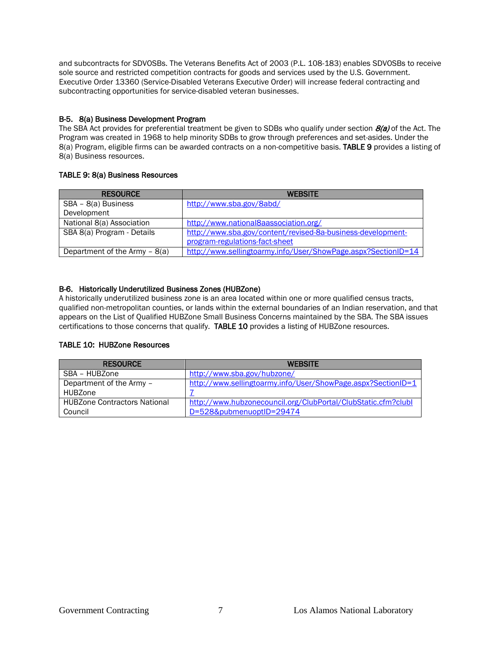and subcontracts for SDVOSBs. The Veterans Benefits Act of 2003 (P.L. 108-183) enables SDVOSBs to receive sole source and restricted competition contracts for goods and services used by the U.S. Government. Executive Order 13360 (Service-Disabled Veterans Executive Order) will increase federal contracting and subcontracting opportunities for service-disabled veteran businesses.

#### B-5. 8(a) Business Development Program

The SBA Act provides for preferential treatment be given to SDBs who qualify under section  $B(z)$  of the Act. The Program was created in 1968 to help minority SDBs to grow through preferences and set-asides. Under the 8(a) Program, eligible firms can be awarded contracts on a non-competitive basis. TABLE 9 provides a listing of 8(a) Business resources.

#### TABLE 9: 8(a) Business Resources

| <b>RESOURCE</b>                | <b>WEBSITE</b>                                                |
|--------------------------------|---------------------------------------------------------------|
| SBA - 8(a) Business            | http://www.sba.gov/8abd/                                      |
| Development                    |                                                               |
| National 8(a) Association      | http://www.national8aassociation.org/                         |
| SBA 8(a) Program - Details     | http://www.sba.gov/content/revised-8a-business-development-   |
|                                | program-regulations-fact-sheet                                |
| Department of the Army $-8(a)$ | http://www.sellingtoarmy.info/User/ShowPage.aspx?SectionID=14 |

#### B-6. Historically Underutilized Business Zones (HUBZone)

A historically underutilized business zone is an area located within one or more qualified census tracts, qualified non-metropolitan counties, or lands within the external boundaries of an Indian reservation, and that appears on the List of Qualified HUBZone Small Business Concerns maintained by the SBA. The SBA issues certifications to those concerns that qualify. TABLE 10 provides a listing of HUBZone resources.

#### TABLE 10: HUBZone Resources

| <b>RESOURCE</b>                     | <b>WEBSITE</b>                                                |
|-------------------------------------|---------------------------------------------------------------|
| SBA – HUBZone                       | http://www.sba.gov/hubzone/                                   |
| Department of the Army -            | http://www.sellingtoarmy.info/User/ShowPage.aspx?SectionID=1  |
| HUBZone                             |                                                               |
| <b>HUBZone Contractors National</b> | http://www.hubzonecouncil.org/ClubPortal/ClubStatic.cfm?clubl |
| Council                             | D=528&pubmenuoptID=29474                                      |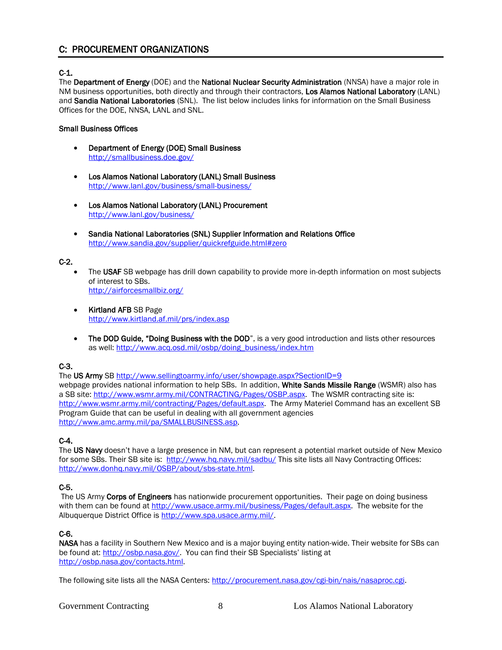# C: PROCUREMENT ORGANIZATIONS

### C-1.

The Department of Energy (DOE) and the National Nuclear Security Administration (NNSA) have a major role in NM business opportunities, both directly and through their contractors, Los Alamos National Laboratory (LANL) and Sandia National Laboratories (SNL). The list below includes links for information on the Small Business Offices for the DOE, NNSA, LANL and SNL.

#### Small Business Offices

- Department of Energy (DOE) Small Business <http://smallbusiness.doe.gov/>
- Los Alamos National Laboratory (LANL) Small Business [http://www.lanl.gov/business/small-business/](http://www.lanl.gov/business/small-business/index.php)
- Los Alamos National Laboratory (LANL) Procurement [http://www.lanl.gov/business/](http://www.lanl.gov/business/vendors/index.php)
- Sandia National Laboratories (SNL) Supplier Information and Relations Office <http://www.sandia.gov/supplier/quickrefguide.html#zero>

#### C-2.

- The USAF SB webpage has drill down capability to provide more in-depth information on most subjects of interest to SBs. <http://airforcesmallbiz.org/>
- Kirtland AFB SB Page <http://www.kirtland.af.mil/prs/index.asp>
- The DOD Guide, "Doing Business with the DOD", is a very good introduction and lists other resources as well: [http://www.acq.osd.mil/osbp/doing\\_business/index.htm](http://www.acq.osd.mil/osbp/doing_business/index.htm)

#### C-3.

The US Army SB<http://www.sellingtoarmy.info/user/showpage.aspx?SectionID=9>

webpage provides national information to help SBs. In addition, White Sands Missile Range (WSMR) also has a SB site: [http://www.wsmr.army.mil/CONTRACTING/Pages/OSBP.aspx.](http://www.wsmr.army.mil/CONTRACTING/Pages/OSBP.aspx) The WSMR contracting site is: [http://www.wsmr.army.mil/contracting/Pages/default.aspx.](http://www.wsmr.army.mil/contracting/Pages/default.aspx) The Army Materiel Command has an excellent SB Program Guide that can be useful in dealing with all government agencies [http://www.amc.army.mil/pa/SMALLBUSINESS.asp.](http://www.amc.army.mil/pa/SMALLBUSINESS.asp)

#### C-4.

The US Navy doesn't have a large presence in NM, but can represent a potential market outside of New Mexico for some SBs. Their SB site is: <http://www.hq.navy.mil/sadbu/> This site lists all Navy Contracting Offices: [http://www.donhq.navy.mil/OSBP/about/sbs-state.html.](http://www.donhq.navy.mil/OSBP/about/sbs-state.html)

#### C-5.

The US Army Corps of Engineers has nationwide procurement opportunities. Their page on doing business with them can be found at [http://www.usace.army.mil/business/Pages/default.aspx.](http://www.usace.army.mil/business/Pages/default.aspx) The website for the Albuquerque District Office is [http://www.spa.usace.army.mil/.](http://www.spa.usace.army.mil/)

#### C-6.

NASA has a facility in Southern New Mexico and is a major buying entity nation-wide. Their website for SBs can be found at: [http://osbp.nasa.gov/.](http://osbp.nasa.gov/) You can find their SB Specialists' listing at [http://osbp.nasa.gov/contacts.html.](http://osbp.nasa.gov/contacts.html)

The following site lists all the NASA Centers: [http://procurement.nasa.gov/cgi-bin/nais/nasaproc.cgi.](http://procurement.nasa.gov/cgi-bin/nais/nasaproc.cgi)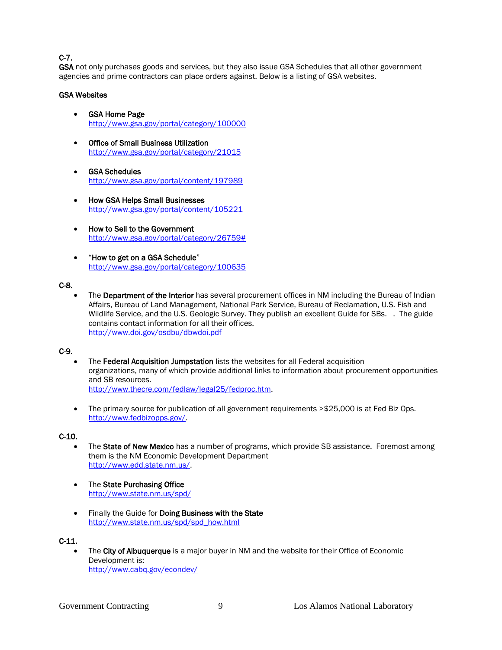### C-7.

GSA not only purchases goods and services, but they also issue GSA Schedules that all other government agencies and prime contractors can place orders against. Below is a listing of GSA websites.

#### GSA Websites

- GSA Home Page <http://www.gsa.gov/portal/category/100000>
- Office of Small Business Utilization <http://www.gsa.gov/portal/category/21015>
- GSA Schedules <http://www.gsa.gov/portal/content/197989>
- How GSA Helps Small Businesses <http://www.gsa.gov/portal/content/105221>
- How to Sell to the Government [http://www.gsa.gov/portal/category/26759#](http://www.gsa.gov/portal/category/26759)
- "How to get on a GSA Schedule" <http://www.gsa.gov/portal/category/100635>

#### C-8.

The Department of the Interior has several procurement offices in NM including the Bureau of Indian Affairs, Bureau of Land Management, National Park Service, Bureau of Reclamation, U.S. Fish and Wildlife Service, and the U.S. Geologic Survey. They publish an excellent Guide for SBs. . The guide contains contact information for all their offices. <http://www.doi.gov/osdbu/dbwdoi.pdf>

#### C-9.

- The Federal Acquisition Jumpstation lists the websites for all Federal acquisition organizations, many of which provide additional links to information about procurement opportunities and SB resources. [http://www.thecre.com/fedlaw/legal25/fedproc.htm.](http://www.thecre.com/fedlaw/legal25/fedproc.htm)
- The primary source for publication of all government requirements > \$25,000 is at Fed Biz Ops. [http://www.fedbizopps.gov/.](http://www.fedbizopps.gov/)

#### C-10.

- The State of New Mexico has a number of programs, which provide SB assistance. Foremost among them is the NM Economic Development Department [http://www.edd.state.nm.us/.](http://www.edd.state.nm.us/)
- The State Purchasing Office <http://www.state.nm.us/spd/>
- Finally the Guide for Doing Business with the State [http://www.state.nm.us/spd/spd\\_how.html](http://www.state.nm.us/spd/spd_how.html)

#### C-11.

The City of Albuquerque is a major buyer in NM and the website for their Office of Economic Development is: <http://www.cabq.gov/econdev/>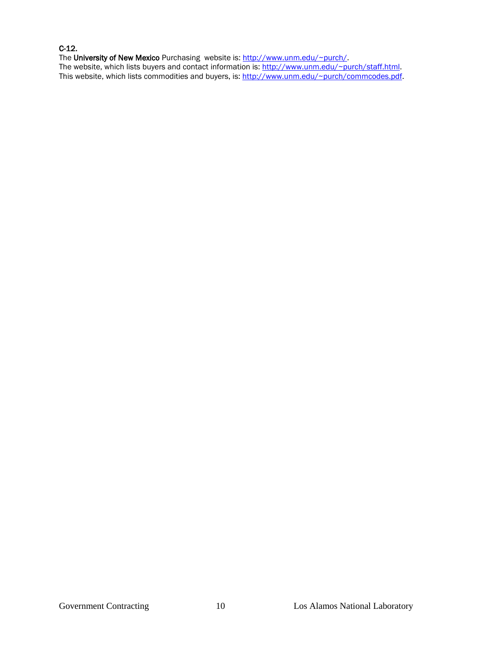#### C-12.

The University of New Mexico Purchasing website is: [http://www.unm.edu/~purch/.](http://www.unm.edu/~purch/) The website, which lists buyers and contact information is: [http://www.unm.edu/~purch/staff.html.](http://www.unm.edu/~purch/staff.html) This website, which lists commodities and buyers, is: [http://www.unm.edu/~purch/commcodes.pdf.](http://www.unm.edu/~purch/commcodes.pdf)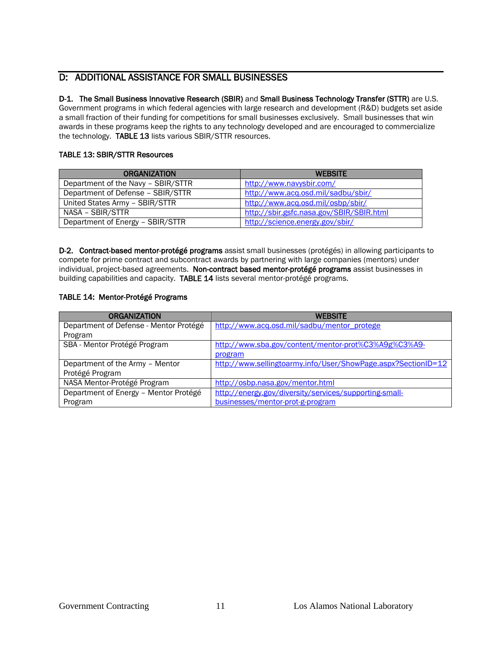# D: ADDITIONAL ASSISTANCE FOR SMALL BUSINESSES

# D-1. The Small Business Innovative Research (SBIR) and Small Business Technology Transfer (STTR) are U.S.

Government programs in which federal agencies with large research and development (R&D) budgets set aside a small fraction of their funding for competitions for small businesses exclusively. Small businesses that win awards in these programs keep the rights to any technology developed and are encouraged to commercialize the technology. TABLE 13 lists various SBIR/STTR resources.

#### TABLE 13: SBIR/STTR Resources

| <b>ORGANIZATION</b>                | <b>WEBSITE</b>                           |
|------------------------------------|------------------------------------------|
| Department of the Navy - SBIR/STTR | http://www.navysbir.com/                 |
| Department of Defense - SBIR/STTR  | http://www.acq.osd.mil/sadbu/sbir/       |
| United States Army - SBIR/STTR     | http://www.acq.osd.mil/osbp/sbir/        |
| NASA – SBIR/STTR                   | http://sbir.gsfc.nasa.gov/SBIR/SBIR.html |
| Department of Energy - SBIR/STTR   | http://science.energy.gov/sbir/          |

D-2. Contract-based mentor-protégé programs assist small businesses (protégés) in allowing participants to compete for prime contract and subcontract awards by partnering with large companies (mentors) under individual, project-based agreements. Non-contract based mentor-protégé programs assist businesses in building capabilities and capacity. TABLE 14 lists several mentor-protégé programs.

#### TABLE 14: Mentor-Protégé Programs

| <b>ORGANIZATION</b>                    | <b>WEBSITE</b>                                                |
|----------------------------------------|---------------------------------------------------------------|
| Department of Defense - Mentor Protégé | http://www.acq.osd.mil/sadbu/mentor_protege                   |
| Program                                |                                                               |
| SBA - Mentor Protégé Program           | http://www.sba.gov/content/mentor-prot%C3%A9g%C3%A9-          |
|                                        | program                                                       |
| Department of the Army - Mentor        | http://www.sellingtoarmy.info/User/ShowPage.aspx?SectionID=12 |
| Protégé Program                        |                                                               |
| NASA Mentor-Protégé Program            | http://osbp.nasa.gov/mentor.html                              |
| Department of Energy - Mentor Protégé  | http://energy.gov/diversity/services/supporting-small-        |
| Program                                | businesses/mentor-prot-g-program                              |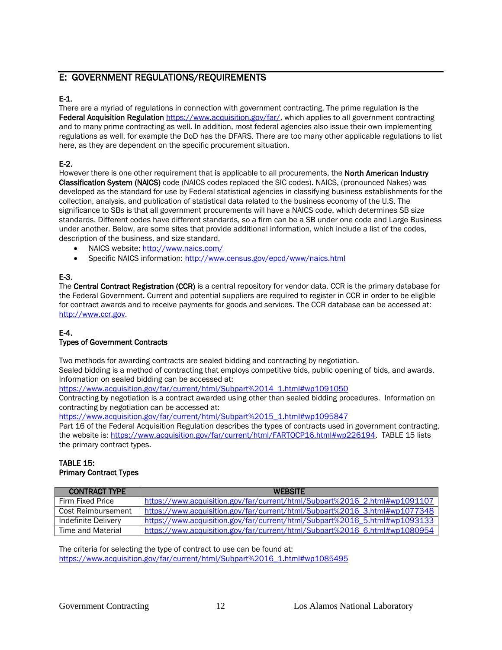# E: GOVERNMENT REGULATIONS/REQUIREMENTS

### E-1.

There are a myriad of regulations in connection with government contracting. The prime regulation is the Federal Acquisition Regulation [https://www.acquisition.gov/far/,](https://www.acquisition.gov/far/) which applies to all government contracting and to many prime contracting as well. In addition, most federal agencies also issue their own implementing regulations as well, for example the DoD has the DFARS. There are too many other applicable regulations to list here, as they are dependent on the specific procurement situation.

### E-2.

However there is one other requirement that is applicable to all procurements, the **North American Industry** Classification System (NAICS) code (NAICS codes replaced the SIC codes). NAICS, (pronounced Nakes) was developed as the standard for use by Federal statistical agencies in classifying business establishments for the collection, analysis, and publication of statistical data related to the business economy of the U.S. The significance to SBs is that all government procurements will have a NAICS code, which determines SB size standards. Different codes have different standards, so a firm can be a SB under one code and Large Business under another. Below, are some sites that provide additional information, which include a list of the codes, description of the business, and size standard.

- NAICS website:<http://www.naics.com/>
- Specific NAICS information[: http://www.census.gov/epcd/www/naics.html](http://www.census.gov/epcd/www/naics.html)

### E-3.

The Central Contract Registration (CCR) is a central repository for vendor data. CCR is the primary database for the Federal Government. Current and potential suppliers are required to register in CCR in order to be eligible for contract awards and to receive payments for goods and services. The CCR database can be accessed at: [http://www.ccr.gov.](http://www.ccr.gov/)

#### E-4.

#### Types of Government Contracts

Two methods for awarding contracts are sealed bidding and contracting by negotiation.

Sealed bidding is a method of contracting that employs competitive bids, public opening of bids, and awards. Information on sealed bidding can be accessed at:

[https://www.acquisition.gov/far/current/html/Subpart%2014\\_1.html#wp1091050](https://www.acquisition.gov/far/current/html/Subpart%2014_1.html#wp1091050)

Contracting by negotiation is a contract awarded using other than sealed bidding procedures. Information on contracting by negotiation can be accessed at:

[https://www.acquisition.gov/far/current/html/Subpart%2015\\_1.html#wp1095847](https://www.acquisition.gov/far/current/html/Subpart%2015_1.html#wp1095847)

Part 16 of the Federal Acquisition Regulation describes the types of contracts used in government contracting, the website is: [https://www.acquisition.gov/far/current/html/FARTOCP16.html#wp226194.](https://www.acquisition.gov/far/current/html/FARTOCP16.html#wp226194) TABLE 15 lists the primary contract types.

#### TABLE 15: Primary Contract Types

| <b>CONTRACT TYPE</b>      | <b>WFRSITE</b>                                                             |
|---------------------------|----------------------------------------------------------------------------|
| Firm Fixed Price          | https://www.acquisition.gov/far/current/html/Subpart%2016 2.html#wp1091107 |
| <b>Cost Reimbursement</b> | https://www.acquisition.gov/far/current/html/Subpart%2016 3.html#wp1077348 |
| Indefinite Delivery       | https://www.acquisition.gov/far/current/html/Subpart%2016 5.html#wp1093133 |
| Time and Material         | https://www.acquisition.gov/far/current/html/Subpart%2016 6.html#wp1080954 |

The criteria for selecting the type of contract to use can be found at: [https://www.acquisition.gov/far/current/html/Subpart%2016\\_1.html#wp1085495](https://www.acquisition.gov/far/current/html/Subpart%2016_1.html#wp1085495)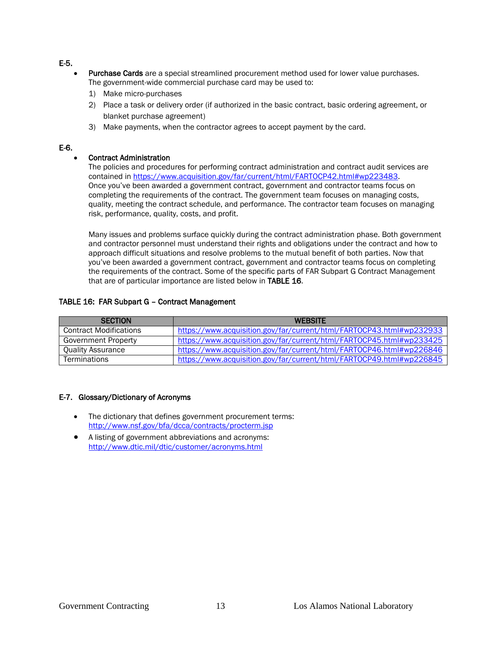E-5.

- Purchase Cards are a special streamlined procurement method used for lower value purchases. The government-wide commercial purchase card may be used to:
	- 1) Make micro-purchases
	- 2) Place a task or delivery order (if authorized in the basic contract, basic ordering agreement, or blanket purchase agreement)
	- 3) Make payments, when the contractor agrees to accept payment by the card.

#### E-6.

#### • Contract Administration

The policies and procedures for performing contract administration and contract audit services are contained i[n https://www.acquisition.gov/far/current/html/FARTOCP42.html#wp223483.](https://www.acquisition.gov/far/current/html/FARTOCP42.html#wp223483) Once you've been awarded a government contract, government and contractor teams focus on completing the requirements of the contract. The government team focuses on managing costs, quality, meeting the contract schedule, and performance. The contractor team focuses on managing risk, performance, quality, costs, and profit.

Many issues and problems surface quickly during the contract administration phase. Both government and contractor personnel must understand their rights and obligations under the contract and how to approach difficult situations and resolve problems to the mutual benefit of both parties. Now that you've been awarded a government contract, government and contractor teams focus on completing the requirements of the contract. Some of the specific parts of FAR Subpart G Contract Management that are of particular importance are listed below in TABLE 16.

#### TABLE 16: FAR Subpart G – Contract Management

| <b>SECTION</b>                | <b>WEBSITE</b>                                                       |
|-------------------------------|----------------------------------------------------------------------|
| <b>Contract Modifications</b> | https://www.acquisition.gov/far/current/html/FARTOCP43.html#wp232933 |
| Government Property           | https://www.acquisition.gov/far/current/html/FARTOCP45.html#wp233425 |
| Quality Assurance             | https://www.acquisition.gov/far/current/html/FARTOCP46.html#wp226846 |
| Terminations                  | https://www.acquisition.gov/far/current/html/FARTOCP49.html#wp226845 |

#### E-7. Glossary/Dictionary of Acronyms

- The dictionary that defines government procurement terms: <http://www.nsf.gov/bfa/dcca/contracts/procterm.jsp>
- A listing of government abbreviations and acronyms: <http://www.dtic.mil/dtic/customer/acronyms.html>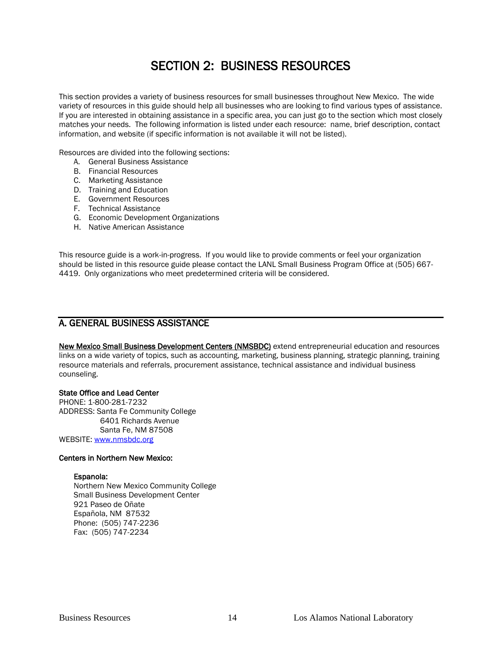# SECTION 2: BUSINESS RESOURCES

This section provides a variety of business resources for small businesses throughout New Mexico. The wide variety of resources in this guide should help all businesses who are looking to find various types of assistance. If you are interested in obtaining assistance in a specific area, you can just go to the section which most closely matches your needs. The following information is listed under each resource: name, brief description, contact information, and website (if specific information is not available it will not be listed).

Resources are divided into the following sections:

- A. General Business Assistance
- B. Financial Resources
- C. Marketing Assistance
- D. Training and Education
- E. Government Resources
- F. Technical Assistance
- G. Economic Development Organizations
- H. Native American Assistance

This resource guide is a work-in-progress. If you would like to provide comments or feel your organization should be listed in this resource guide please contact the LANL Small Business Program Office at (505) 667- 4419. Only organizations who meet predetermined criteria will be considered.

### A. GENERAL BUSINESS ASSISTANCE

New Mexico Small Business Development Centers (NMSBDC) extend entrepreneurial education and resources links on a wide variety of topics, such as accounting, marketing, business planning, strategic planning, training resource materials and referrals, procurement assistance, technical assistance and individual business counseling.

#### State Office and Lead Center

PHONE: 1-800-281-7232 ADDRESS: Santa Fe Community College 6401 Richards Avenue Santa Fe, NM 87508 WEBSITE: [www.nmsbdc.org](http://www.nmsbdc.org/)

#### Centers in Northern New Mexico:

#### Espanola:

Northern New Mexico Community College Small Business Development Center 921 Paseo de Oñate Española, NM 87532 Phone: (505) 747-2236 Fax: (505) 747-2234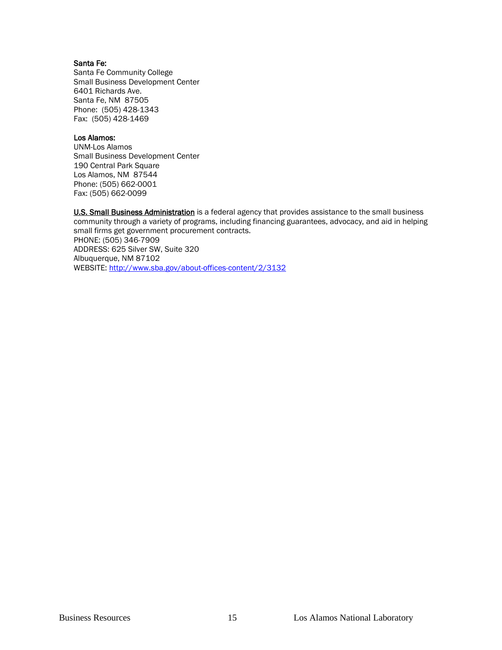#### Santa Fe:

Santa Fe Community College Small Business Development Center 6401 Richards Ave. Santa Fe, NM 87505 Phone: (505) 428-1343 Fax: (505) 428-1469

#### Los Alamos:

UNM-Los Alamos Small Business Development Center 190 Central Park Square Los Alamos, NM 87544 Phone: (505) 662-0001 Fax: (505) 662-0099

U.S. Small Business Administration is a federal agency that provides assistance to the small business community through a variety of programs, including financing guarantees, advocacy, and aid in helping small firms get government procurement contracts. PHONE: (505) 346-7909 ADDRESS: 625 Silver SW, Suite 320 Albuquerque, NM 87102 WEBSITE:<http://www.sba.gov/about-offices-content/2/3132>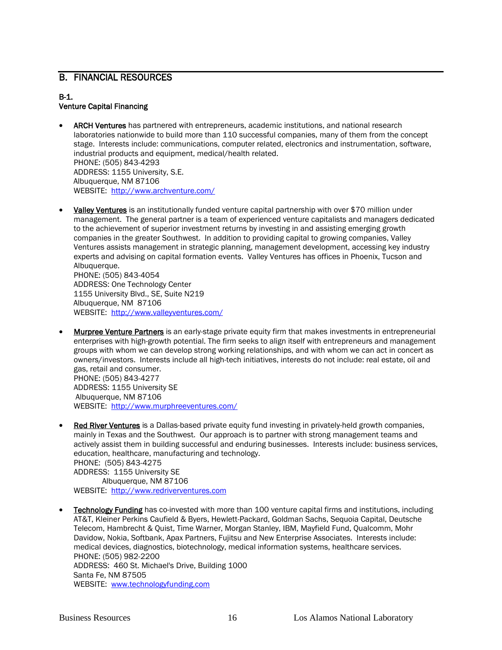### B. FINANCIAL RESOURCES

#### B-1. Venture Capital Financing

- ARCH Ventures has partnered with entrepreneurs, academic institutions, and national research laboratories nationwide to build more than 110 successful companies, many of them from the concept stage. Interests include: communications, computer related, electronics and instrumentation, software, industrial products and equipment, medical/health related. PHONE: (505) 843-4293 ADDRESS: 1155 University, S.E. Albuquerque, NM 87106 WEBSITE:<http://www.archventure.com/>
- Valley Ventures is an institutionally funded venture capital partnership with over \$70 million under management. The general partner is a team of experienced venture capitalists and managers dedicated to the achievement of superior investment returns by investing in and assisting emerging growth companies in the greater Southwest. In addition to providing capital to growing companies, Valley Ventures assists management in strategic planning, management development, accessing key industry experts and advising on capital formation events. Valley Ventures has offices in Phoenix, Tucson and Albuquerque. PHONE: (505) 843-4054

ADDRESS: One Technology Center 1155 University Blvd., SE, Suite N219 Albuquerque, NM 87106 WEBSITE:<http://www.valleyventures.com/>

- Murpree Venture Partners is an early-stage private equity firm that makes investments in entrepreneurial enterprises with high-growth potential. The firm seeks to align itself with entrepreneurs and management groups with whom we can develop strong working relationships, and with whom we can act in concert as owners/investors. Interests include all high-tech initiatives, interests do not include: real estate, oil and gas, retail and consumer. PHONE: (505) 843-4277 ADDRESS: 1155 University SE Albuquerque, NM 87106
	- WEBSITE:<http://www.murphreeventures.com/>
- Red River Ventures is a Dallas-based private equity fund investing in privately-held growth companies, mainly in Texas and the Southwest. Our approach is to partner with strong management teams and actively assist them in building successful and enduring businesses. Interests include: business services, education, healthcare, manufacturing and technology. PHONE: (505) 843-4275 ADDRESS: 1155 University SE Albuquerque, NM 87106 WEBSITE: [http://www.redriverventures.com](http://www.redriverventures.com/main.htm)
- **Technology Funding** has co-invested with more than 100 venture capital firms and institutions, including AT&T, Kleiner Perkins Caufield & Byers, Hewlett-Packard, Goldman Sachs, Sequoia Capital, Deutsche Telecom, Hambrecht & Quist, Time Warner, Morgan Stanley, IBM, Mayfield Fund, Qualcomm, Mohr Davidow, Nokia, Softbank, Apax Partners, Fujitsu and New Enterprise Associates. Interests include: medical devices, diagnostics, biotechnology, medical information systems, healthcare services. PHONE: (505) 982-2200 ADDRESS: 460 St. Michael's Drive, Building 1000 Santa Fe, NM 87505 WEBSITE: [www.technologyfunding.com](http://www.technologyfunding.com/)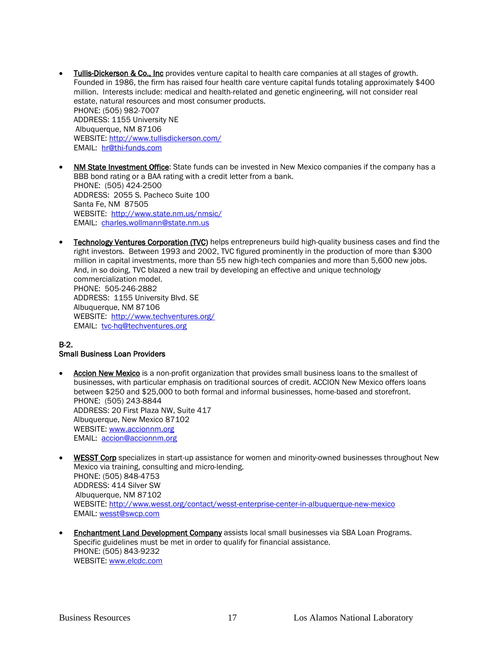- Tullis-Dickerson & Co., Inc provides venture capital to health care companies at all stages of growth. Founded in 1986, the firm has raised four health care venture capital funds totaling approximately \$400 million. Interests include: medical and health-related and genetic engineering, will not consider real estate, natural resources and most consumer products. PHONE: (505) 982-7007 ADDRESS: 1155 University NE Albuquerque, NM 87106 WEBSITE:<http://www.tullisdickerson.com/> EMAIL: [hr@thi-funds.com](mailto:hr@thi-funds.com)
- NM State Investment Office: State funds can be invested in New Mexico companies if the company has a BBB bond rating or a BAA rating with a credit letter from a bank. PHONE: (505) 424-2500 ADDRESS: 2055 S. Pacheco Suite 100 Santa Fe, NM 87505 WEBSITE:<http://www.state.nm.us/nmsic/> EMAIL: [charles.wollmann@state.nm.us](mailto:charles.wollmann@state.nm.us)
- **Technology Ventures Corporation (TVC)** helps entrepreneurs build high-quality business cases and find the right investors. Between 1993 and 2002, TVC figured prominently in the production of more than \$300 million in capital investments, more than 55 new high-tech companies and more than 5,600 new jobs. And, in so doing, TVC blazed a new trail by developing an effective and unique technology commercialization model. PHONE: 505-246-2882 ADDRESS: 1155 University Blvd. SE Albuquerque, NM 87106 WEBSITE:<http://www.techventures.org/> EMAIL: [tvc-hq@techventures.org](mailto:tvc-hq@techventures.org)

#### B-2.

#### Small Business Loan Providers

- Accion New Mexico is a non-profit organization that provides small business loans to the smallest of businesses, with particular emphasis on traditional sources of credit. ACCION New Mexico offers loans between \$250 and \$25,000 to both formal and informal businesses, home-based and storefront. PHONE: (505) 243-8844 ADDRESS: 20 First Plaza NW, Suite 417 Albuquerque, New Mexico 87102 WEBSITE: [www.accionnm.org](http://www.accionnm.org/) EMAIL: [accion@accionnm.org](mailto:accion@accionnm.org)
- **WESST Corp** specializes in start-up assistance for women and minority-owned businesses throughout New Mexico via training, consulting and micro-lending. PHONE: (505) 848-4753 ADDRESS: 414 Silver SW Albuquerque, NM 87102 WEBSITE:<http://www.wesst.org/contact/wesst-enterprise-center-in-albuquerque-new-mexico> EMAIL: [wesst@swcp.com](mailto:wesst@swcp.com)
- **Enchantment Land Development Company** assists local small businesses via SBA Loan Programs. Specific guidelines must be met in order to qualify for financial assistance. PHONE: (505) 843-9232 WEBSITE: [www.elcdc.com](http://www.elcdc.com/)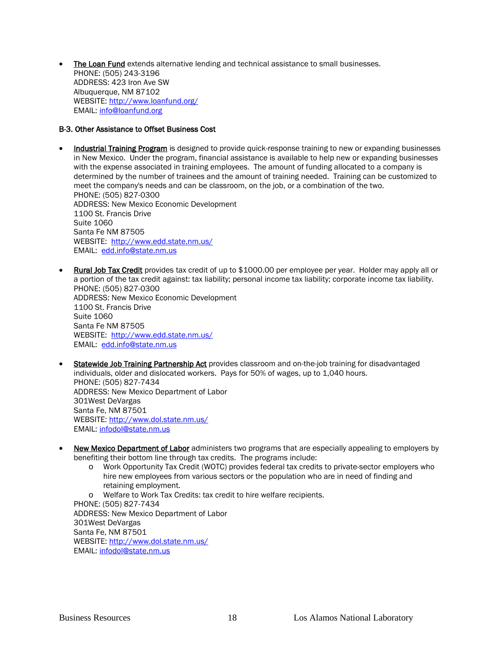The Loan Fund extends alternative lending and technical assistance to small businesses. PHONE: (505) 243-3196 ADDRESS: 423 Iron Ave SW Albuquerque, NM 87102 WEBSITE:<http://www.loanfund.org/> EMAIL: [info@loanfund.org](mailto:info@loanfund.org)

#### B-3. Other Assistance to Offset Business Cost

- **Industrial Training Program** is designed to provide quick-response training to new or expanding businesses in New Mexico. Under the program, financial assistance is available to help new or expanding businesses with the expense associated in training employees. The amount of funding allocated to a company is determined by the number of trainees and the amount of training needed. Training can be customized to meet the company's needs and can be classroom, on the job, or a combination of the two. PHONE: (505) 827-0300 ADDRESS: New Mexico Economic Development 1100 St. Francis Drive Suite 1060 Santa Fe NM 87505 WEBSITE:<http://www.edd.state.nm.us/> EMAIL: [edd.info@state.nm.us](mailto:edd.info@state.nm.us)
- Rural Job Tax Credit provides tax credit of up to \$1000.00 per employee per year. Holder may apply all or a portion of the tax credit against: tax liability; personal income tax liability; corporate income tax liability. PHONE: (505) 827-0300 ADDRESS: New Mexico Economic Development 1100 St. Francis Drive Suite 1060 Santa Fe NM 87505 WEBSITE:<http://www.edd.state.nm.us/> EMAIL: [edd.info@state.nm.us](mailto:edd.info@state.nm.us)
- **Statewide Job Training Partnership Act** provides classroom and on-the-job training for disadvantaged individuals, older and dislocated workers. Pays for 50% of wages, up to 1,040 hours. PHONE: (505) 827-7434 ADDRESS: New Mexico Department of Labor 301West DeVargas Santa Fe, NM 87501 WEBSITE:<http://www.dol.state.nm.us/> EMAIL: [infodol@state.nm.us](mailto:infodol@state.nm.us)
- New Mexico Department of Labor administers two programs that are especially appealing to employers by benefiting their bottom line through tax credits. The programs include:
	- o Work Opportunity Tax Credit (WOTC) provides federal tax credits to private-sector employers who hire new employees from various sectors or the population who are in need of finding and retaining employment.
	- o Welfare to Work Tax Credits: tax credit to hire welfare recipients.

PHONE: (505) 827-7434 ADDRESS: New Mexico Department of Labor 301West DeVargas Santa Fe, NM 87501 WEBSITE:<http://www.dol.state.nm.us/> EMAIL: [infodol@state.nm.us](mailto:infodol@state.nm.us)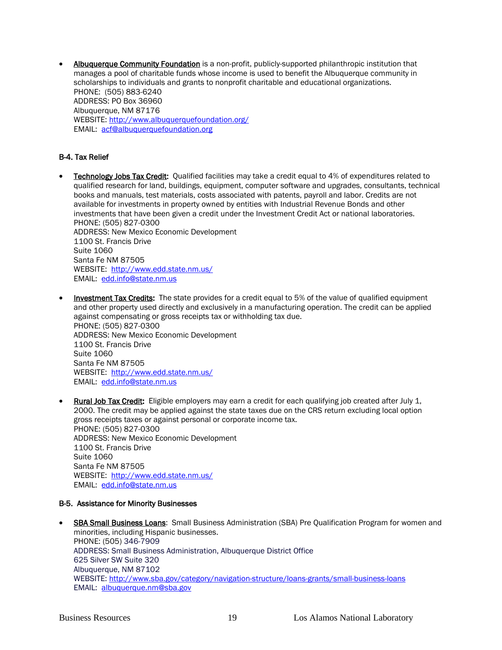Albuquerque Community Foundation is a non-profit, publicly-supported philanthropic institution that manages a pool of charitable funds whose income is used to benefit the Albuquerque community in scholarships to individuals and grants to nonprofit charitable and educational organizations. PHONE: (505) 883-6240 ADDRESS: PO Box 36960 Albuquerque, NM 87176 WEBSITE:<http://www.albuquerquefoundation.org/> EMAIL: [acf@albuquerquefoundation.org](mailto:acf@albuquerquefoundation.org)

#### B-4. Tax Relief

- **Technology Jobs Tax Credit:** Qualified facilities may take a credit equal to 4% of expenditures related to qualified research for land, buildings, equipment, computer software and upgrades, consultants, technical books and manuals, test materials, costs associated with patents, payroll and labor. Credits are not available for investments in property owned by entities with Industrial Revenue Bonds and other investments that have been given a credit under the Investment Credit Act or national laboratories. PHONE: (505) 827-0300 ADDRESS: New Mexico Economic Development 1100 St. Francis Drive Suite 1060 Santa Fe NM 87505 WEBSITE:<http://www.edd.state.nm.us/> EMAIL: [edd.info@state.nm.us](mailto:edd.info@state.nm.us)
- **Investment Tax Credits:** The state provides for a credit equal to 5% of the value of qualified equipment and other property used directly and exclusively in a manufacturing operation. The credit can be applied against compensating or gross receipts tax or withholding tax due. PHONE: (505) 827-0300 ADDRESS: New Mexico Economic Development 1100 St. Francis Drive Suite 1060 Santa Fe NM 87505 WEBSITE:<http://www.edd.state.nm.us/> EMAIL: [edd.info@state.nm.us](mailto:edd.info@state.nm.us)
- Rural Job Tax Credit: Eligible employers may earn a credit for each qualifying job created after July 1, 2000. The credit may be applied against the state taxes due on the CRS return excluding local option gross receipts taxes or against personal or corporate income tax. PHONE: (505) 827-0300 ADDRESS: New Mexico Economic Development 1100 St. Francis Drive Suite 1060 Santa Fe NM 87505 WEBSITE:<http://www.edd.state.nm.us/> EMAIL: [edd.info@state.nm.us](mailto:edd.info@state.nm.us)

#### B-5. Assistance for Minority Businesses

**SBA Small Business Loans:** Small Business Administration (SBA) Pre Qualification Program for women and minorities, including Hispanic businesses. PHONE: (505) 346-7909 ADDRESS: Small Business Administration, Albuquerque District Office 625 Silver SW Suite 320 Albuquerque, NM 87102 WEBSITE:<http://www.sba.gov/category/navigation-structure/loans-grants/small-business-loans> EMAIL: [albuquerque.nm@sba.gov](mailto:albuquerque.nm@sba.gov)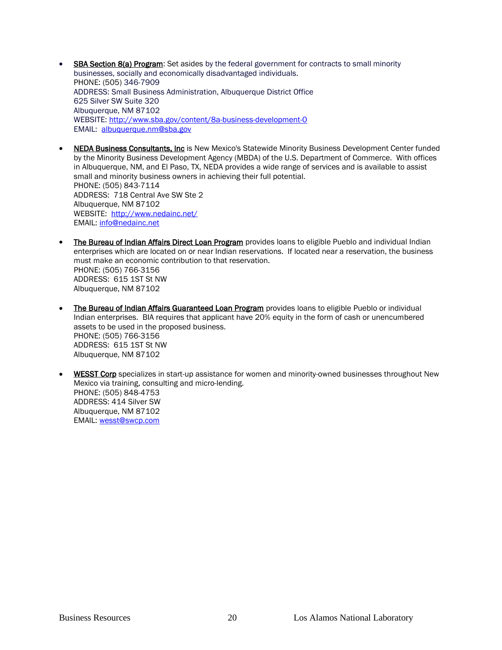- **SBA Section 8(a) Program:** Set asides by the federal government for contracts to small minority businesses, socially and economically disadvantaged individuals. PHONE: (505) 346-7909 ADDRESS: Small Business Administration, Albuquerque District Office 625 Silver SW Suite 320 Albuquerque, NM 87102 WEBSITE:<http://www.sba.gov/content/8a-business-development-0> EMAIL: [albuquerque.nm@sba.gov](mailto:albuquerque.nm@sba.gov)
- NEDA Business Consultants, Inc is New Mexico's Statewide Minority Business Development Center funded by the Minority Business Development Agency (MBDA) of the U.S. Department of Commerce. With offices in Albuquerque, NM, and El Paso, TX, NEDA provides a wide range of services and is available to assist small and minority business owners in achieving their full potential. PHONE: (505) 843-7114 ADDRESS: 718 Central Ave SW Ste 2 Albuquerque, NM 87102 WEBSITE:<http://www.nedainc.net/> EMAIL: [info@nedainc.net](mailto:info@nedainc.net)
- The Bureau of Indian Affairs Direct Loan Program provides loans to eligible Pueblo and individual Indian enterprises which are located on or near Indian reservations. If located near a reservation, the business must make an economic contribution to that reservation. PHONE: (505) 766-3156 ADDRESS: 615 1ST St NW Albuquerque, NM 87102
- The Bureau of Indian Affairs Guaranteed Loan Program provides loans to eligible Pueblo or individual Indian enterprises. BIA requires that applicant have 20% equity in the form of cash or unencumbered assets to be used in the proposed business. PHONE: (505) 766-3156 ADDRESS: 615 1ST St NW Albuquerque, NM 87102
- WESST Corp specializes in start-up assistance for women and minority-owned businesses throughout New Mexico via training, consulting and micro-lending. PHONE: (505) 848-4753 ADDRESS: 414 Silver SW Albuquerque, NM 87102 EMAIL: [wesst@swcp.com](mailto:wesst@swcp.com)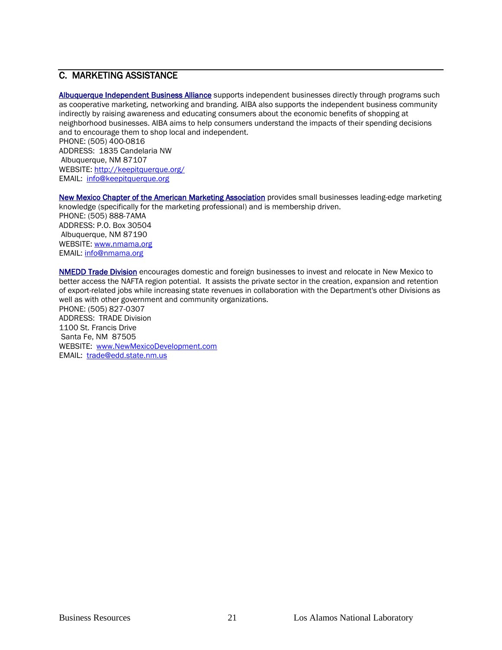# C. MARKETING ASSISTANCE

Albuquerque Independent Business Alliance supports independent businesses directly through programs such as cooperative marketing, networking and branding. AIBA also supports the independent business community indirectly by raising awareness and educating consumers about the economic benefits of shopping at neighborhood businesses. AIBA aims to help consumers understand the impacts of their spending decisions and to encourage them to shop local and independent. PHONE: (505) 400-0816 ADDRESS: 1835 Candelaria NW Albuquerque, NM 87107 WEBSITE: http://keepitquerque.org/

EMAIL: [info@keepitquerque.org](mailto:info@keepitquerque.org)

New Mexico Chapter of the American Marketing Association provides small businesses leading-edge marketing knowledge (specifically for the marketing professional) and is membership driven. PHONE: (505) 888-7AMA ADDRESS: P.O. Box 30504

Albuquerque, NM 87190 WEBSITE: [www.nmama.org](http://www.nmama.org/) EMAIL: [info@nmama.org](mailto:info@nmama.org)

NMEDD Trade Division encourages domestic and foreign businesses to invest and relocate in New Mexico to better access the NAFTA region potential. It assists the private sector in the creation, expansion and retention of export-related jobs while increasing state revenues in collaboration with the Department's other Divisions as well as with other government and community organizations. PHONE: (505) 827-0307 ADDRESS: TRADE Division

1100 St. Francis Drive Santa Fe, NM 87505 WEBSITE: [www.NewMexicoDevelopment.com](http://www.newmexicodevelopment.com/) EMAIL: [trade@edd.state.nm.us](mailto:trade@edd.state.nm.us)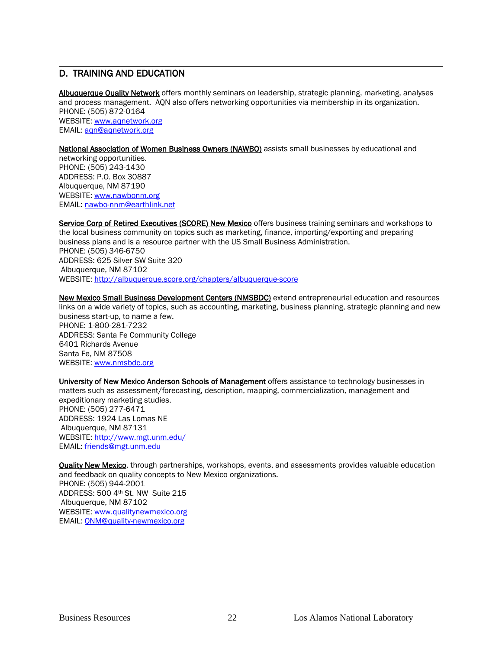#### $\overline{a}$ D. TRAINING AND EDUCATION

Albuquerque Quality Network offers monthly seminars on leadership, strategic planning, marketing, analyses and process management. AQN also offers networking opportunities via membership in its organization. PHONE: (505) 872-0164 WEBSITE: [www.aqnetwork.org](http://www.aqnetwork.org/) EMAIL: [aqn@aqnetwork.org](mailto:aqn@aqnetwork.org)

#### National Association of Women Business Owners (NAWBO) assists small businesses by educational and

networking opportunities. PHONE: (505) 243-1430 ADDRESS: P.O. Box 30887 Albuquerque, NM 87190 WEBSITE: [www.nawbonm.org](http://www.nawbonm.org/) EMAIL: [nawbo-nnm@earthlink.net](mailto:nawbo-nnm@earthlink.net)

Service Corp of Retired Executives (SCORE) New Mexico offers business training seminars and workshops to the local business community on topics such as marketing, finance, importing/exporting and preparing business plans and is a resource partner with the US Small Business Administration. PHONE: (505) 346-6750 ADDRESS: 625 Silver SW Suite 320 Albuquerque, NM 87102 WEBSITE:<http://albuquerque.score.org/chapters/albuquerque-score>

New Mexico Small Business Development Centers (NMSBDC) extend entrepreneurial education and resources links on a wide variety of topics, such as accounting, marketing, business planning, strategic planning and new business start-up, to name a few. PHONE: 1-800-281-7232 ADDRESS: Santa Fe Community College 6401 Richards Avenue Santa Fe, NM 87508 WEBSITE: [www.nmsbdc.org](http://www.nmsbdc.org/)

University of New Mexico Anderson Schools of Management offers assistance to technology businesses in matters such as assessment/forecasting, description, mapping, commercialization, management and expeditionary marketing studies. PHONE: (505) 277-6471 ADDRESS: 1924 Las Lomas NE Albuquerque, NM 87131 WEBSITE:<http://www.mgt.unm.edu/> EMAIL: [friends@mgt.unm.edu](mailto:friends@mgt.unm.edu)

**Quality New Mexico**, through partnerships, workshops, events, and assessments provides valuable education and feedback on quality concepts to New Mexico organizations. PHONE: (505) 944-2001 ADDRESS: 500 4th St. NW Suite 215 Albuquerque, NM 87102 WEBSITE: [www.qualitynewmexico.org](http://www.qualitynewmexico.org/) EMAIL: [QNM@quality-newmexico.org](mailto:QNM@quality-newmexico.org)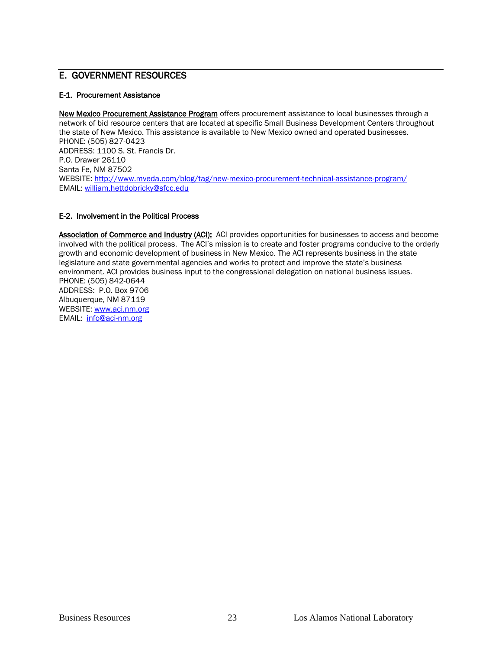# E. GOVERNMENT RESOURCES

#### E-1. Procurement Assistance

New Mexico Procurement Assistance Program offers procurement assistance to local businesses through a network of bid resource centers that are located at specific Small Business Development Centers throughout the state of New Mexico. This assistance is available to New Mexico owned and operated businesses. PHONE: (505) 827-0423 ADDRESS: 1100 S. St. Francis Dr. P.O. Drawer 26110 Santa Fe, NM 87502 WEBSITE:<http://www.mveda.com/blog/tag/new-mexico-procurement-technical-assistance-program/> EMAIL: [william.hettdobricky@sfcc.edu](mailto:william.hettdobricky@sfcc.edu)

#### E-2. Involvement in the Political Process

Association of Commerce and Industry (ACI): ACI provides opportunities for businesses to access and become involved with the political process. The ACI's mission is to create and foster programs conducive to the orderly growth and economic development of business in New Mexico. The ACI represents business in the state legislature and state governmental agencies and works to protect and improve the state's business environment. ACI provides business input to the congressional delegation on national business issues. PHONE: (505) 842-0644 ADDRESS: P.O. Box 9706 Albuquerque, NM 87119 WEBSITE: [www.aci.nm.org](http://www.aci.nm.org/)

EMAIL: [info@aci-nm.org](mailto:info@aci-nm.org)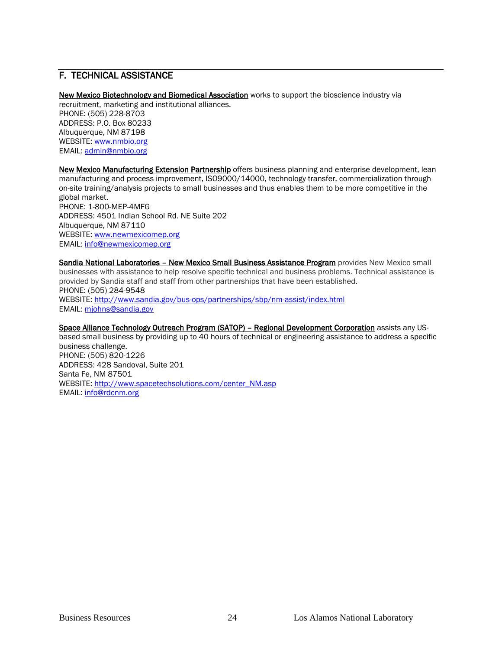# F. TECHNICAL ASSISTANCE

New Mexico Biotechnology and Biomedical Association works to support the bioscience industry via recruitment, marketing and institutional alliances. PHONE: (505) 228-8703 ADDRESS: P.O. Box 80233 Albuquerque, NM 87198 WEBSITE: [www.nmbio.org](http://www.nmbio.org/) EMAIL: [admin@nmbio.org](mailto:admin@nmbio.org)

New Mexico Manufacturing Extension Partnership offers business planning and enterprise development, lean manufacturing and process improvement, ISO9000/14000, technology transfer, commercialization through on-site training/analysis projects to small businesses and thus enables them to be more competitive in the global market. PHONE: 1-800-MEP-4MFG ADDRESS: 4501 Indian School Rd. NE Suite 202 Albuquerque, NM 87110 WEBSITE: [www.newmexicomep.org](http://www.newmexicomep.org/) EMAIL: [info@newmexicomep.org](mailto:info@newmexicomep.org)

Sandia National Laboratories - New Mexico Small Business Assistance Program provides New Mexico small businesses with assistance to help resolve specific technical and business problems. Technical assistance is provided by Sandia staff and staff from other partnerships that have been established. PHONE: (505) 284-9548 WEBSITE:<http://www.sandia.gov/bus-ops/partnerships/sbp/nm-assist/index.html> EMAIL: [mjohns@sandia.gov](mailto:mjohns@sandia.gov)

Space Alliance Technology Outreach Program (SATOP) - Regional Development Corporation assists any USbased small business by providing up to 40 hours of technical or engineering assistance to address a specific business challenge. PHONE: (505) 820-1226 ADDRESS: 428 Sandoval, Suite 201 Santa Fe, NM 87501 WEBSITE: [http://www.spacetechsolutions.com/center\\_NM.asp](http://www.spacetechsolutions.com/center_NM.asp) EMAIL: [info@rdcnm.org](mailto:info@rdcnm.org)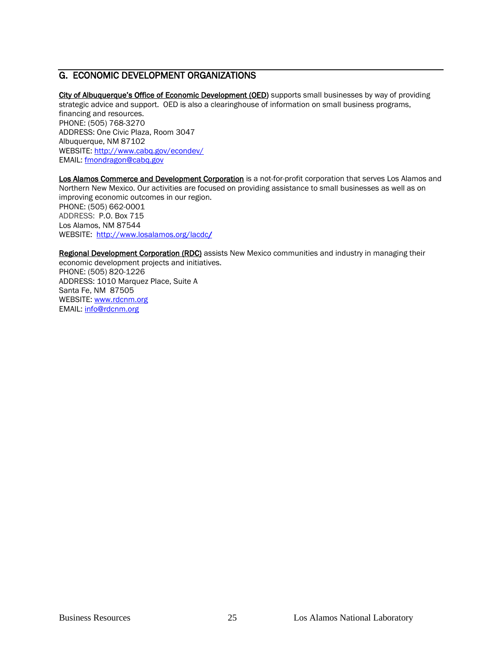# G. ECONOMIC DEVELOPMENT ORGANIZATIONS

City of Albuquerque's Office of Economic Development (OED) supports small businesses by way of providing strategic advice and support. OED is also a clearinghouse of information on small business programs, financing and resources. PHONE: (505) 768-3270 ADDRESS: One Civic Plaza, Room 3047 Albuquerque, NM 87102 WEBSITE:<http://www.cabq.gov/econdev/> EMAIL: [fmondragon@cabq.gov](mailto:fmondragon@cabq.gov)

Los Alamos Commerce and Development Corporation is a not-for-profit corporation that serves Los Alamos and Northern New Mexico. Our activities are focused on providing assistance to small businesses as well as on improving economic outcomes in our region. PHONE: (505) 662-0001 ADDRESS: P.O. Box 715 Los Alamos, NM 87544 WEBSITE:<http://www.losalamos.org/lacdc/>

Regional Development Corporation (RDC) assists New Mexico communities and industry in managing their economic development projects and initiatives. PHONE: (505) 820-1226 ADDRESS: 1010 Marquez Place, Suite A Santa Fe, NM 87505 WEBSITE: [www.rdcnm.org](http://www.rdcnm.org/) EMAIL: [info@rdcnm.org](mailto:info@rdcnm.org)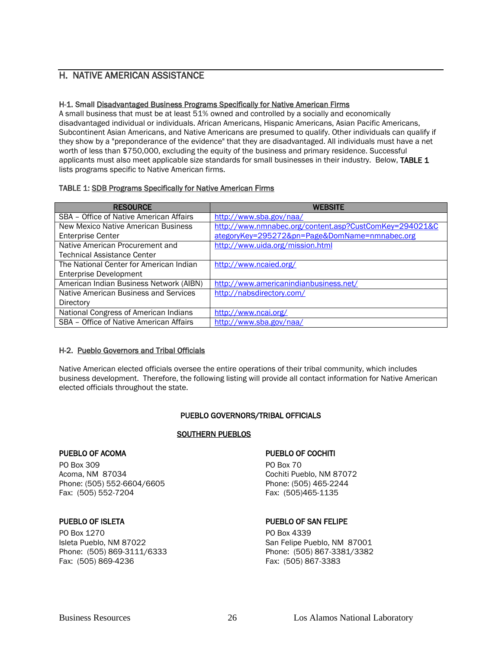### H. NATIVE AMERICAN ASSISTANCE

#### H-1. Small Disadvantaged Business Programs Specifically for Native American Firms

A small business that must be at least 51% owned and controlled by a socially and economically disadvantaged individual or individuals. African Americans, Hispanic Americans, Asian Pacific Americans, Subcontinent Asian Americans, and Native Americans are presumed to qualify. Other individuals can qualify if they show by a "preponderance of the evidence" that they are disadvantaged. All individuals must have a net worth of less than \$750,000, excluding the equity of the business and primary residence. Successful applicants must also meet applicable size standards for small businesses in their industry. Below, TABLE 1 lists programs specific to Native American firms.

#### TABLE 1: SDB Programs Specifically for Native American Firms

| <b>RESOURCE</b>                         | <b>WEBSITE</b>                                         |
|-----------------------------------------|--------------------------------------------------------|
| SBA - Office of Native American Affairs | http://www.sba.gov/naa/                                |
| New Mexico Native American Business     | http://www.nmnabec.org/content.asp?CustComKey=294021&C |
| <b>Enterprise Center</b>                | ategoryKey=295272&pn=Page&DomName=nmnabec.org          |
| Native American Procurement and         | http://www.uida.org/mission.html                       |
| <b>Technical Assistance Center</b>      |                                                        |
| The National Center for American Indian | http://www.ncaied.org/                                 |
| <b>Enterprise Development</b>           |                                                        |
| American Indian Business Network (AIBN) | http://www.americanindianbusiness.net/                 |
| Native American Business and Services   | http://nabsdirectory.com/                              |
| Directory                               |                                                        |
| National Congress of American Indians   | http://www.ncai.org/                                   |
| SBA - Office of Native American Affairs | http://www.sba.gov/naa/                                |

#### H-2. Pueblo Governors and Tribal Officials

Native American elected officials oversee the entire operations of their tribal community, which includes business development. Therefore, the following listing will provide all contact information for Native American elected officials throughout the state.

#### PUEBLO GOVERNORS/TRIBAL OFFICIALS

#### SOUTHERN PUEBLOS

PO Box 309 PO Box 70 Acoma, NM 87034<br>
Phone: (505) 552-6604/6605<br>
Phone: (505) 465-2244 Phone: (505) 552-6604/6605<br>
Fax: (505) 552-7204<br>
Fax: (505) 465-1135 Fax: (505) 552-7204

PO Box 1270 PO Box 4339 Fax: (505) 869-4236 Fax: (505) 867-3383

#### PUEBLO OF ACOMA PUEBLO OF COCHITI

#### PUEBLO OF ISLETA **PUEBLO OF SAN FELIPE**

Isleta Pueblo, NM 87022 San Felipe Pueblo, NM 87001 Phone: (505) 869-3111/6333 Phone: (505) 867-3381/3382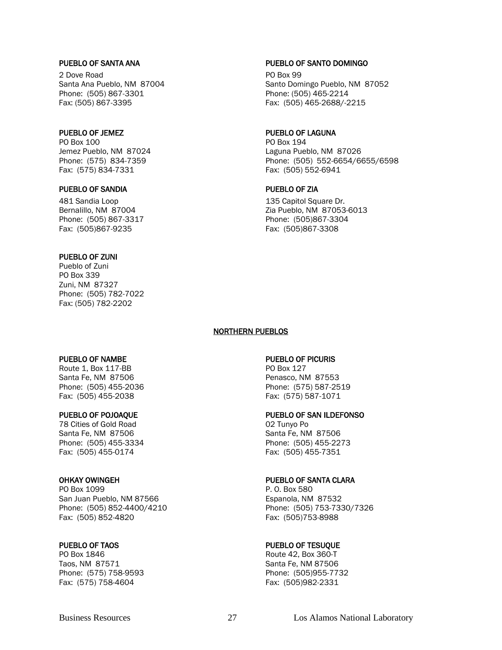2 Dove Road PO Box 99 Phone: (505) 867-3301 Phone: (505) 465-2214 Fax: (505) 867-3395 Fax: (505) 465-2688/-2215

PO Box 100 PO Box 194 Fax: (575) 834-7331 Fax: (505) 552-6941

#### PUEBLO OF SANDIA PUEBLO OF ZIA

481 Sandia Loop 135 Capitol Square Dr. Phone: (505) 867-3317 Phone: (505)867-3304 Fax: (505)867-9235 Fax: (505)867-3308

#### PUEBLO OF ZUNI

Pueblo of Zuni PO Box 339 Zuni, NM 87327 Phone: (505) 782-7022 Fax: (505) 782-2202

#### PUEBLO OF NAMBE PUEBLO OF PICURIS

Route 1, Box 117-BB PO Box 127 Santa Fe, NM 87506 **Penasco, NM 87553** Phone: (505) 455-2036 Phone: (575) 587-2519 Fax: (505) 455-2038 Fax: (575) 587-1071

78 Cities of Gold Road 02 Tunyo Po Santa Fe, NM 87506 Santa Fe, NM 87506 Fax: (505) 455-0174 Fax: (505) 455-7351

PO Box 1099 **PO Box 1099 P. O. Box 580** San Juan Pueblo, NM 87566 Espanola, NM 87532 Phone: (505) 852-4400/4210 Phone: (505) 753-7330/7326 Fax: (505) 852-4820 Fax: (505)753-8988

PO Box 1846 **PO Box 1846** Route 42, Box 360-T Taos, NM 87571 Santa Fe, NM 87506 Phone: (575) 758-9593 Phone: (505)955-7732 Fax: (575) 758-4604 Fax: (505)982-2331

#### PUEBLO OF SANTA ANA PUEBLO OF SANTO DOMINGO

Santa Ana Pueblo, NM 87004 Santo Domingo Pueblo, NM 87052

### PUEBLO OF JEMEZ **PUEBLO OF LAGUNA**

Jemez Pueblo, NM 87024 Laguna Pueblo, NM 87026 Phone: (575) 834-7359 Phone: (505) 552-6654/6655/6598

Bernalillo, NM 87004 **Zia Pueblo, NM 87053-6013** 

#### NORTHERN PUEBLOS

#### PUEBLO OF POJOAQUE PUEBLO OF SAN ILDEFONSO

Phone: (505) 455-3334 Phone: (505) 455-2273

#### OHKAY OWINGEH PUEBLO OF SANTA CLARA

#### PUEBLO OF TAOS PUEBLO OF TESUQUE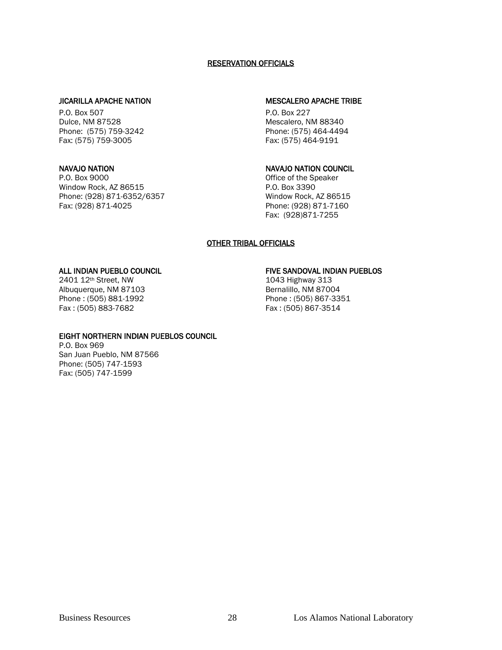#### RESERVATION OFFICIALS

#### JICARILLA APACHE NATION MESCALERO APACHE TRIBE

P.O. Box 507 P.O. Box 227 Dulce, NM 87528 Mescalero, NM 88340 Phone: (575) 759-3242 Phone: (575) 464-4494 Fax: (575) 759-3005 Fax: (575) 464-9191

P.O. Box 9000 P.O. Box 9000 P.O. Box 9000 Device of the Speaker Mindow Rock. AZ 86515 Window Rock, AZ 86515 Phone: (928) 871-6352/6357 Window Rock, AZ 86515 Fax: (928) 871-4025 Phone: (928) 871-7160

#### NAVAJO NATION NAVAJO NATION COUNCIL

Fax: (928)871-7255

#### OTHER TRIBAL OFFICIALS

2401 12<sup>th</sup> Street, NW<br>Albuquerque, NM 87103 1043 Highway 313<br>Bernalillo, NM 87004 Albuquerque, NM 87103

#### ALL INDIAN PUEBLO COUNCIL **FIVE SANDOVAL INDIAN PUEBLOS**

Phone : (505) 881-1992 Phone : (505) 867-3351 Fax: (505) 867-3514

#### EIGHT NORTHERN INDIAN PUEBLOS COUNCIL

P.O. Box 969 San Juan Pueblo, NM 87566 Phone: (505) 747-1593 Fax: (505) 747-1599